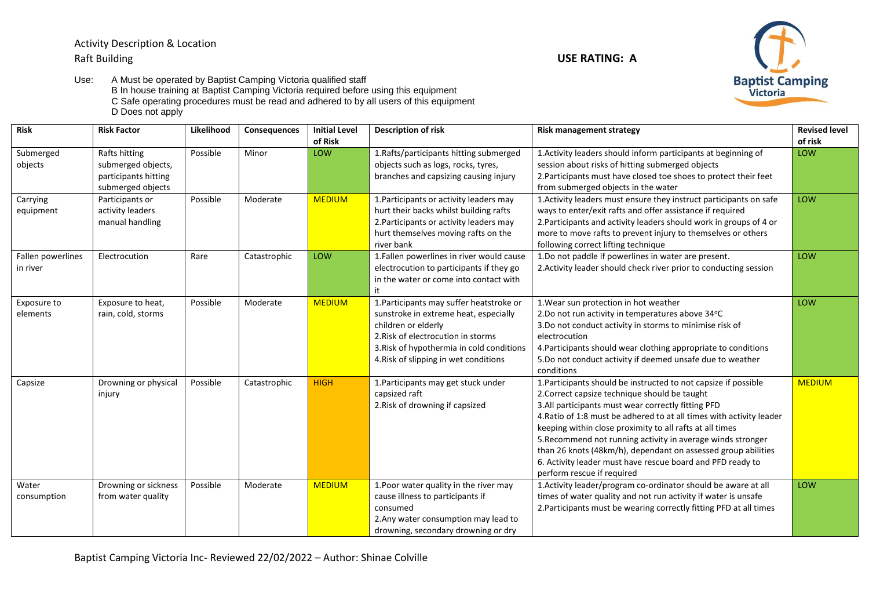Activity Description & Location Raft Building **USE RATING: A**

Use: A Must be operated by Baptist Camping Victoria qualified staff B In house training at Baptist Camping Victoria required before using this equipment C Safe operating procedures must be read and adhered to by all users of this equipment D Does not apply

**Risk Risk Factor Likelihood Consequences Initial Level of Risk Description of risk Risk management strategy Revised level Revised level Revised level of risk** Submerged objects Rafts hitting submerged objects, participants hitting submerged objects Possible Minor LOW 1.Rafts/participants hitting submerged objects such as logs, rocks, tyres, branches and capsizing causing injury 1.Activity leaders should inform participants at beginning of session about risks of hitting submerged objects 2.Participants must have closed toe shoes to protect their feet from submerged objects in the water LOW **Carrving** equipment Participants or activity leaders manual handling Possible Moderate MEDIUM 1.Participants or activity leaders may hurt their backs whilst building rafts 2.Participants or activity leaders may hurt themselves moving rafts on the river bank 1.Activity leaders must ensure they instruct participants on safe ways to enter/exit rafts and offer assistance if required 2.Participants and activity leaders should work in groups of 4 or more to move rafts to prevent injury to themselves or others following correct lifting technique LOW Fallen powerlines in river Electrocution Rare Catastrophic LOW 1.Fallen powerlines in river would cause electrocution to participants if they go in the water or come into contact with it 1.Do not paddle if powerlines in water are present. 2.Activity leader should check river prior to conducting session LOW Exposure to elements Exposure to heat, rain, cold, storms Possible Moderate MEDIUM 1.Participants may suffer heatstroke or sunstroke in extreme heat, especially children or elderly 2.Risk of electrocution in storms 3.Risk of hypothermia in cold conditions 4.Risk of slipping in wet conditions 1.Wear sun protection in hot weather 2.Do not run activity in temperatures above 34°C 3.Do not conduct activity in storms to minimise risk of electrocution 4.Participants should wear clothing appropriate to conditions 5.Do not conduct activity if deemed unsafe due to weather conditions LOW Capsize **Drowning or physical** injury Possible Catastrophic HIGH 1.Participants may get stuck under capsized raft 2.Risk of drowning if capsized 1.Participants should be instructed to not capsize if possible 2.Correct capsize technique should be taught 3.All participants must wear correctly fitting PFD 4.Ratio of 1:8 must be adhered to at all times with activity leader keeping within close proximity to all rafts at all times 5.Recommend not running activity in average winds stronger than 26 knots (48km/h), dependant on assessed group abilities 6. Activity leader must have rescue board and PFD ready to perform rescue if required **MEDIUM** Water consumption Drowning or sickness from water quality Possible Moderate MEDIUM 1.Poor water quality in the river may cause illness to participants if consumed 2.Any water consumption may lead to drowning, secondary drowning or dry 1.Activity leader/program co-ordinator should be aware at all times of water quality and not run activity if water is unsafe 2.Participants must be wearing correctly fitting PFD at all times LOW

Baptist Camping Victoria Inc- Reviewed 22/02/2022 – Author: Shinae Colville